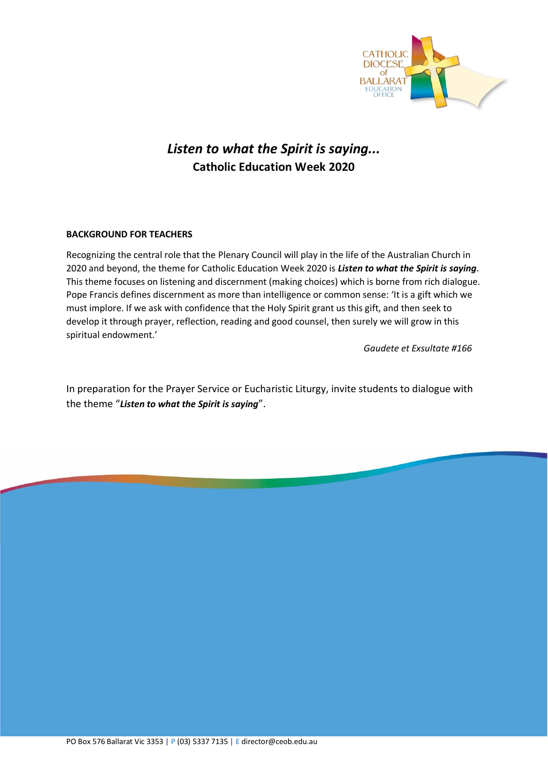

# *Listen to what the Spirit is saying...* **Catholic Education Week 2020**

## **BACKGROUND FOR TEACHERS**

Recognizing the central role that the Plenary Council will play in the life of the Australian Church in 2020 and beyond, the theme for Catholic Education Week 2020 is *Listen to what the Spirit is saying*. This theme focuses on listening and discernment (making choices) which is borne from rich dialogue. Pope Francis defines discernment as more than intelligence or common sense: 'It is a gift which we must implore. If we ask with confidence that the Holy Spirit grant us this gift, and then seek to develop it through prayer, reflection, reading and good counsel, then surely we will grow in this spiritual endowment.'

*Gaudete et Exsultate #166*

In preparation for the Prayer Service or Eucharistic Liturgy, invite students to dialogue with the theme "*Listen to what the Spirit is saying*".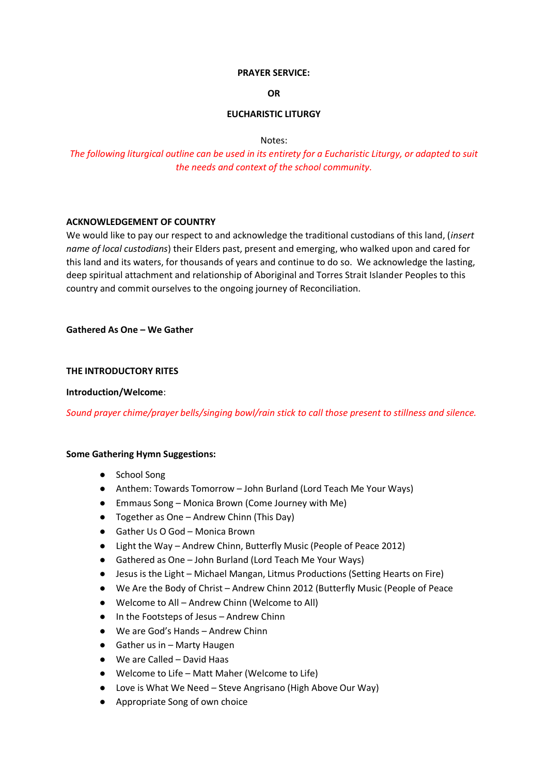#### **PRAYER SERVICE:**

## **OR**

## **EUCHARISTIC LITURGY**

Notes:

*The following liturgical outline can be used in its entirety for a Eucharistic Liturgy, or adapted to suit the needs and context of the school community.*

## **ACKNOWLEDGEMENT OF COUNTRY**

We would like to pay our respect to and acknowledge the traditional custodians of this land, (*insert name of local custodians*) their Elders past, present and emerging, who walked upon and cared for this land and its waters, for thousands of years and continue to do so. We acknowledge the lasting, deep spiritual attachment and relationship of Aboriginal and Torres Strait Islander Peoples to this country and commit ourselves to the ongoing journey of Reconciliation.

## **Gathered As One – We Gather**

## **THE INTRODUCTORY RITES**

## **Introduction/Welcome**:

*Sound prayer chime/prayer bells/singing bowl/rain stick to call those present to stillness and silence.*

## **Some Gathering Hymn Suggestions:**

- School Song
- Anthem: Towards Tomorrow John Burland (Lord Teach Me Your Ways)
- Emmaus Song Monica Brown (Come Journey with Me)
- Together as One Andrew Chinn (This Day)
- Gather Us O God Monica Brown
- Light the Way Andrew Chinn, Butterfly Music (People of Peace 2012)
- Gathered as One John Burland (Lord Teach Me Your Ways)
- Jesus is the Light Michael Mangan, Litmus Productions (Setting Hearts on Fire)
- We Are the Body of Christ Andrew Chinn 2012 (Butterfly Music (People of Peace
- Welcome to All Andrew Chinn (Welcome to All)
- In the Footsteps of Jesus Andrew Chinn
- We are God's Hands Andrew Chinn
- Gather us in Marty Haugen
- We are Called David Haas
- Welcome to Life Matt Maher (Welcome to Life)
- Love is What We Need Steve Angrisano (High Above Our Way)
- Appropriate Song of own choice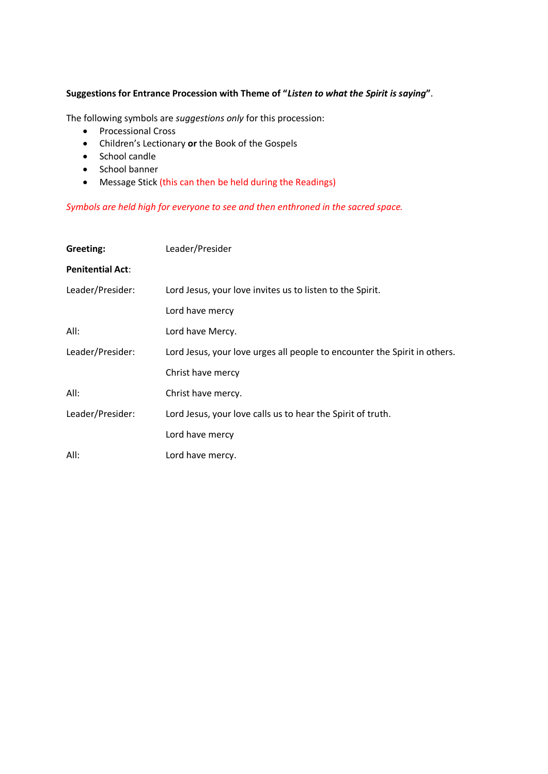## **Suggestions for Entrance Procession with Theme of "***Listen to what the Spirit is saying***"**.

The following symbols are *suggestions only* for this procession:

- Processional Cross
- Children's Lectionary **or** the Book of the Gospels
- School candle
- School banner
- Message Stick (this can then be held during the Readings)

*Symbols are held high for everyone to see and then enthroned in the sacred space.*

| Greeting:               | Leader/Presider                                                           |
|-------------------------|---------------------------------------------------------------------------|
| <b>Penitential Act:</b> |                                                                           |
| Leader/Presider:        | Lord Jesus, your love invites us to listen to the Spirit.                 |
|                         | Lord have mercy                                                           |
| All:                    | Lord have Mercy.                                                          |
| Leader/Presider:        | Lord Jesus, your love urges all people to encounter the Spirit in others. |
|                         | Christ have mercy                                                         |
| All:                    | Christ have mercy.                                                        |
| Leader/Presider:        | Lord Jesus, your love calls us to hear the Spirit of truth.               |
|                         | Lord have mercy                                                           |
| All:                    | Lord have mercy.                                                          |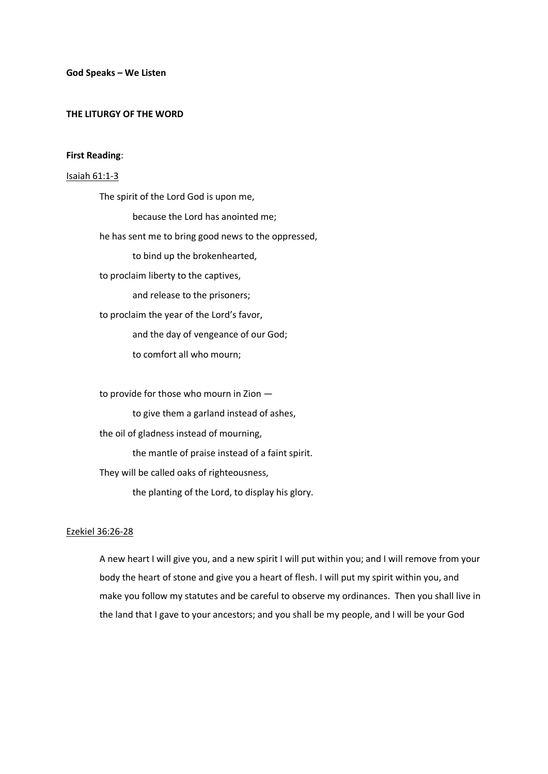**God Speaks – We Listen**

#### **THE LITURGY OF THE WORD**

#### **First Reading**:

#### Isaiah 61:1-3

The spirit of the Lord God is upon me, because the Lord has anointed me; he has sent me to bring good news to the oppressed, to bind up the brokenhearted, to proclaim liberty to the captives, and release to the prisoners; to proclaim the year of the Lord's favor, and the day of vengeance of our God; to comfort all who mourn;

to provide for those who mourn in Zion —

to give them a garland instead of ashes,

the oil of gladness instead of mourning,

the mantle of praise instead of a faint spirit.

They will be called oaks of righteousness,

the planting of the Lord, to display his glory.

#### Ezekiel 36:26-28

A new heart I will give you, and a new spirit I will put within you; and I will remove from your body the heart of stone and give you a heart of flesh. I will put my spirit within you, and make you follow my statutes and be careful to observe my ordinances. Then you shall live in the land that I gave to your ancestors; and you shall be my people, and I will be your God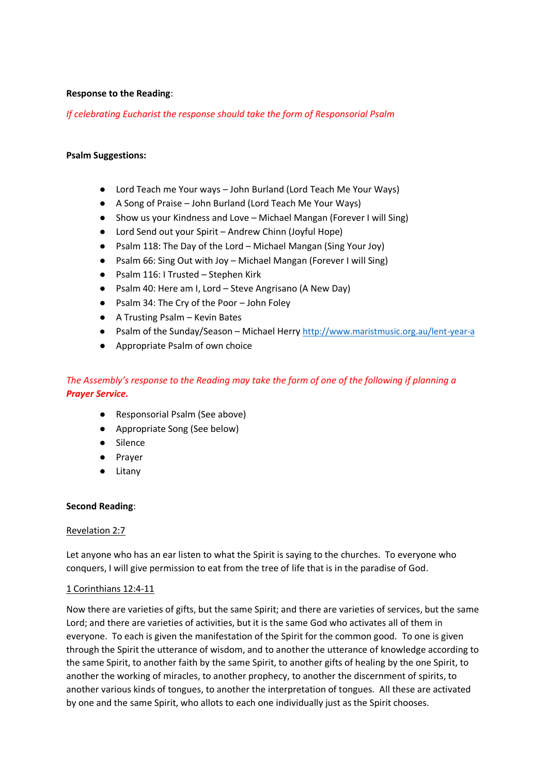## **Response to the Reading**:

*If celebrating Eucharist the response should take the form of Responsorial Psalm*

## **Psalm Suggestions:**

- Lord Teach me Your ways John Burland (Lord Teach Me Your Ways)
- A Song of Praise John Burland (Lord Teach Me Your Ways)
- Show us your Kindness and Love Michael Mangan (Forever I will Sing)
- Lord Send out your Spirit Andrew Chinn (Joyful Hope)
- Psalm 118: The Day of the Lord Michael Mangan (Sing Your Joy)
- Psalm 66: Sing Out with Joy Michael Mangan (Forever I will Sing)
- Psalm 116: I Trusted Stephen Kirk
- Psalm 40: Here am I, Lord Steve Angrisano (A New Day)
- Psalm 34: The Cry of the Poor John Foley
- A Trusting Psalm Kevin Bates
- Psalm of the Sunday/Season Michael Herry <http://www.maristmusic.org.au/lent-year-a>
- Appropriate Psalm of own choice

## *The Assembly's response to the Reading may take the form of one of the following if planning a Prayer Service.*

- Responsorial Psalm (See above)
- Appropriate Song (See below)
- Silence
- Prayer
- Litany

## **Second Reading**:

## Revelation 2:7

Let anyone who has an ear listen to what the Spirit is saying to the churches. To everyone who conquers, I will give permission to eat from the tree of life that is in the paradise of God.

## 1 Corinthians 12:4-11

Now there are varieties of gifts, but the same Spirit; and there are varieties of services, but the same Lord; and there are varieties of activities, but it is the same God who activates all of them in everyone. To each is given the manifestation of the Spirit for the common good. To one is given through the Spirit the utterance of wisdom, and to another the utterance of knowledge according to the same Spirit, to another faith by the same Spirit, to another gifts of healing by the one Spirit, to another the working of miracles, to another prophecy, to another the discernment of spirits, to another various kinds of tongues, to another the interpretation of tongues. All these are activated by one and the same Spirit, who allots to each one individually just as the Spirit chooses.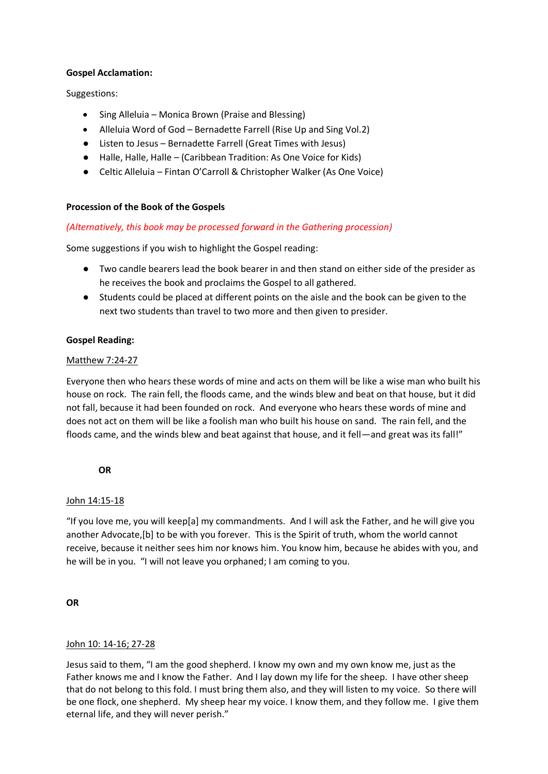## **Gospel Acclamation:**

Suggestions:

- Sing Alleluia Monica Brown (Praise and Blessing)
- Alleluia Word of God Bernadette Farrell (Rise Up and Sing Vol.2)
- Listen to Jesus Bernadette Farrell (Great Times with Jesus)
- Halle, Halle, Halle (Caribbean Tradition: As One Voice for Kids)
- Celtic Alleluia Fintan O'Carroll & Christopher Walker (As One Voice)

## **Procession of the Book of the Gospels**

## *(Alternatively, this book may be processed forward in the Gathering procession)*

Some suggestions if you wish to highlight the Gospel reading:

- Two candle bearers lead the book bearer in and then stand on either side of the presider as he receives the book and proclaims the Gospel to all gathered.
- Students could be placed at different points on the aisle and the book can be given to the next two students than travel to two more and then given to presider.

## **Gospel Reading:**

## Matthew 7:24-27

Everyone then who hears these words of mine and acts on them will be like a wise man who built his house on rock. The rain fell, the floods came, and the winds blew and beat on that house, but it did not fall, because it had been founded on rock. And everyone who hears these words of mine and does not act on them will be like a foolish man who built his house on sand. The rain fell, and the floods came, and the winds blew and beat against that house, and it fell—and great was its fall!"

## **OR**

## John 14:15-18

"If you love me, you will keep[[a\]](https://www.biblegateway.com/passage/?search=John+14%3A15-18&version=NRSV#fen-NRSV-26673a) my commandments. And I will ask the Father, and he will give you another Advocate,[\[b\]](https://www.biblegateway.com/passage/?search=John+14%3A15-18&version=NRSV#fen-NRSV-26674b) to be with you forever. This is the Spirit of truth, whom the world cannot receive, because it neither sees him nor knows him. You know him, because he abides with you, and he will be in you. "I will not leave you orphaned; I am coming to you.

## **OR**

## John 10: 14-16; 27-28

Jesus said to them, "I am the good shepherd. I know my own and my own know me, just as the Father knows me and I know the Father. And I lay down my life for the sheep. I have other sheep that do not belong to this fold. I must bring them also, and they will listen to my voice. So there will be one flock, one shepherd. My sheep hear my voice. I know them, and they follow me. I give them eternal life, and they will never perish."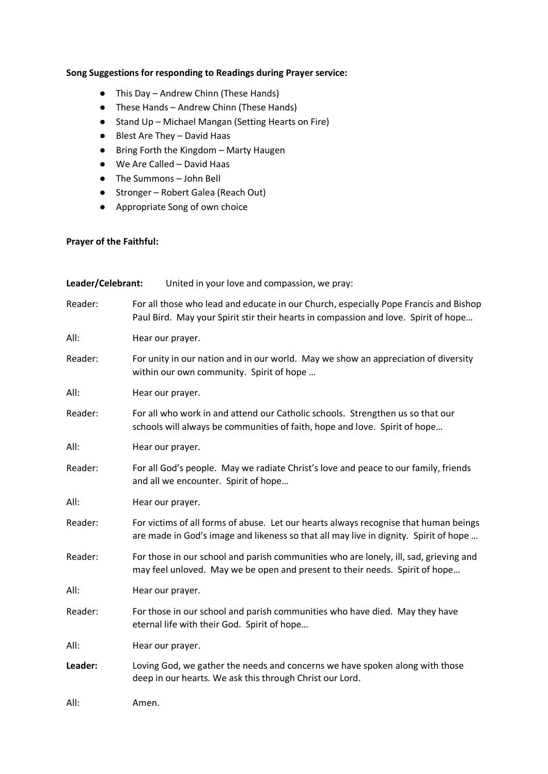## **Song Suggestions for responding to Readings during Prayer service:**

- This Day Andrew Chinn (These Hands)
- These Hands Andrew Chinn (These Hands)
- Stand Up Michael Mangan (Setting Hearts on Fire)
- Blest Are They David Haas
- Bring Forth the Kingdom Marty Haugen
- We Are Called David Haas
- The Summons John Bell
- Stronger Robert Galea (Reach Out)
- Appropriate Song of own choice

## **Prayer of the Faithful:**

| Leader/Celebrant:<br>United in your love and compassion, we pray: |                                                                                                                                                                              |  |
|-------------------------------------------------------------------|------------------------------------------------------------------------------------------------------------------------------------------------------------------------------|--|
| Reader:                                                           | For all those who lead and educate in our Church, especially Pope Francis and Bishop<br>Paul Bird. May your Spirit stir their hearts in compassion and love. Spirit of hope  |  |
| All:                                                              | Hear our prayer.                                                                                                                                                             |  |
| Reader:                                                           | For unity in our nation and in our world. May we show an appreciation of diversity<br>within our own community. Spirit of hope                                               |  |
| All:                                                              | Hear our prayer.                                                                                                                                                             |  |
| Reader:                                                           | For all who work in and attend our Catholic schools. Strengthen us so that our<br>schools will always be communities of faith, hope and love. Spirit of hope                 |  |
| All:                                                              | Hear our prayer.                                                                                                                                                             |  |
| Reader:                                                           | For all God's people. May we radiate Christ's love and peace to our family, friends<br>and all we encounter. Spirit of hope                                                  |  |
| All:                                                              | Hear our prayer.                                                                                                                                                             |  |
| Reader:                                                           | For victims of all forms of abuse. Let our hearts always recognise that human beings<br>are made in God's image and likeness so that all may live in dignity. Spirit of hope |  |
| Reader:                                                           | For those in our school and parish communities who are lonely, ill, sad, grieving and<br>may feel unloved. May we be open and present to their needs. Spirit of hope         |  |
| All:                                                              | Hear our prayer.                                                                                                                                                             |  |
| Reader:                                                           | For those in our school and parish communities who have died. May they have<br>eternal life with their God. Spirit of hope                                                   |  |
| All:                                                              | Hear our prayer.                                                                                                                                                             |  |
| Leader:                                                           | Loving God, we gather the needs and concerns we have spoken along with those<br>deep in our hearts. We ask this through Christ our Lord.                                     |  |
| All:                                                              | Amen.                                                                                                                                                                        |  |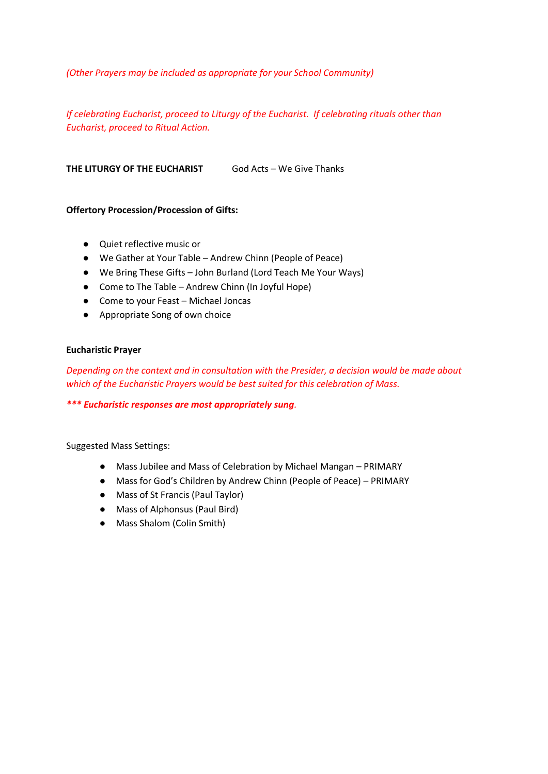*(Other Prayers may be included as appropriate for your School Community)*

*If celebrating Eucharist, proceed to Liturgy of the Eucharist. If celebrating rituals other than Eucharist, proceed to Ritual Action.*

**THE LITURGY OF THE EUCHARIST** God Acts – We Give Thanks

## **Offertory Procession/Procession of Gifts:**

- Quiet reflective music or
- We Gather at Your Table Andrew Chinn (People of Peace)
- We Bring These Gifts John Burland (Lord Teach Me Your Ways)
- Come to The Table Andrew Chinn (In Joyful Hope)
- Come to your Feast Michael Joncas
- Appropriate Song of own choice

#### **Eucharistic Prayer**

*Depending on the context and in consultation with the Presider, a decision would be made about which of the Eucharistic Prayers would be best suited for this celebration of Mass.* 

*\*\*\* Eucharistic responses are most appropriately sung.* 

Suggested Mass Settings:

- Mass Jubilee and Mass of Celebration by Michael Mangan PRIMARY
- Mass for God's Children by Andrew Chinn (People of Peace) PRIMARY
- Mass of St Francis (Paul Taylor)
- Mass of Alphonsus (Paul Bird)
- Mass Shalom (Colin Smith)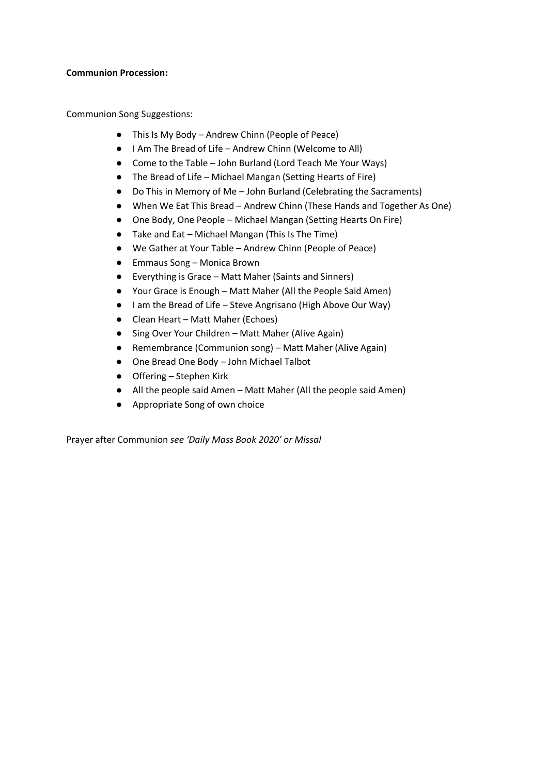## **Communion Procession:**

Communion Song Suggestions:

- This Is My Body Andrew Chinn (People of Peace)
- I Am The Bread of Life Andrew Chinn (Welcome to All)
- Come to the Table John Burland (Lord Teach Me Your Ways)
- The Bread of Life Michael Mangan (Setting Hearts of Fire)
- Do This in Memory of Me John Burland (Celebrating the Sacraments)
- When We Eat This Bread Andrew Chinn (These Hands and Together As One)
- One Body, One People Michael Mangan (Setting Hearts On Fire)
- Take and Eat Michael Mangan (This Is The Time)
- We Gather at Your Table Andrew Chinn (People of Peace)
- Emmaus Song Monica Brown
- Everything is Grace Matt Maher (Saints and Sinners)
- Your Grace is Enough Matt Maher (All the People Said Amen)
- I am the Bread of Life Steve Angrisano (High Above Our Way)
- Clean Heart Matt Maher (Echoes)
- Sing Over Your Children Matt Maher (Alive Again)
- Remembrance (Communion song) Matt Maher (Alive Again)
- One Bread One Body John Michael Talbot
- Offering Stephen Kirk
- All the people said Amen Matt Maher (All the people said Amen)
- Appropriate Song of own choice

Prayer after Communion *see 'Daily Mass Book 2020' or Missal*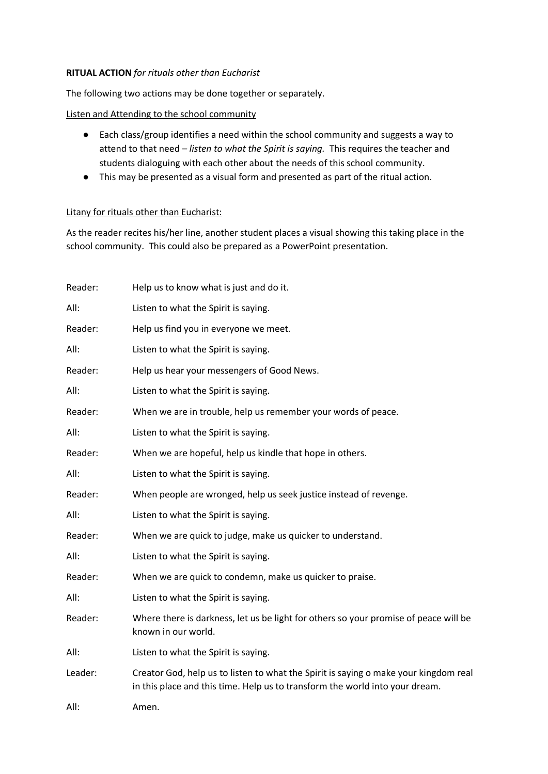## **RITUAL ACTION** *for rituals other than Eucharist*

The following two actions may be done together or separately.

## Listen and Attending to the school community

- Each class/group identifies a need within the school community and suggests a way to attend to that need – *listen to what the Spirit is saying.* This requires the teacher and students dialoguing with each other about the needs of this school community.
- This may be presented as a visual form and presented as part of the ritual action.

## Litany for rituals other than Eucharist:

As the reader recites his/her line, another student places a visual showing this taking place in the school community. This could also be prepared as a PowerPoint presentation.

| Reader: | Help us to know what is just and do it.                                                                                                                              |
|---------|----------------------------------------------------------------------------------------------------------------------------------------------------------------------|
| All:    | Listen to what the Spirit is saying.                                                                                                                                 |
| Reader: | Help us find you in everyone we meet.                                                                                                                                |
| All:    | Listen to what the Spirit is saying.                                                                                                                                 |
| Reader: | Help us hear your messengers of Good News.                                                                                                                           |
| All:    | Listen to what the Spirit is saying.                                                                                                                                 |
| Reader: | When we are in trouble, help us remember your words of peace.                                                                                                        |
| All:    | Listen to what the Spirit is saying.                                                                                                                                 |
| Reader: | When we are hopeful, help us kindle that hope in others.                                                                                                             |
| All:    | Listen to what the Spirit is saying.                                                                                                                                 |
| Reader: | When people are wronged, help us seek justice instead of revenge.                                                                                                    |
| All:    | Listen to what the Spirit is saying.                                                                                                                                 |
| Reader: | When we are quick to judge, make us quicker to understand.                                                                                                           |
| All:    | Listen to what the Spirit is saying.                                                                                                                                 |
| Reader: | When we are quick to condemn, make us quicker to praise.                                                                                                             |
| All:    | Listen to what the Spirit is saying.                                                                                                                                 |
| Reader: | Where there is darkness, let us be light for others so your promise of peace will be<br>known in our world.                                                          |
| All:    | Listen to what the Spirit is saying.                                                                                                                                 |
| Leader: | Creator God, help us to listen to what the Spirit is saying o make your kingdom real<br>in this place and this time. Help us to transform the world into your dream. |
| All:    | Amen.                                                                                                                                                                |
|         |                                                                                                                                                                      |